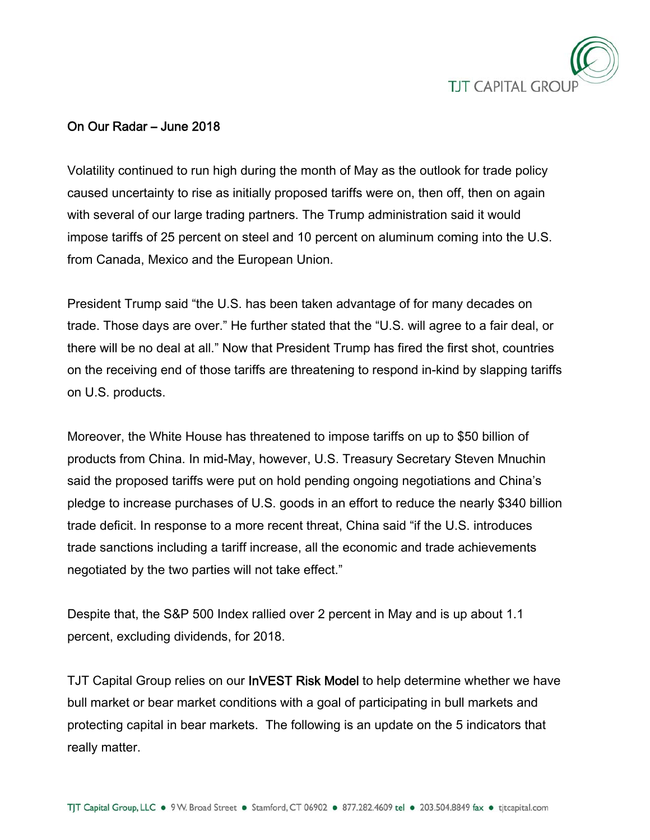

## On Our Radar – June 2018

Volatility continued to run high during the month of May as the outlook for trade policy caused uncertainty to rise as initially proposed tariffs were on, then off, then on again with several of our large trading partners. The Trump administration said it would impose tariffs of 25 percent on steel and 10 percent on aluminum coming into the U.S. from Canada, Mexico and the European Union.

President Trump said "the U.S. has been taken advantage of for many decades on trade. Those days are over." He further stated that the "U.S. will agree to a fair deal, or there will be no deal at all." Now that President Trump has fired the first shot, countries on the receiving end of those tariffs are threatening to respond in-kind by slapping tariffs on U.S. products.

Moreover, the White House has threatened to impose tariffs on up to \$50 billion of products from China. In mid-May, however, U.S. Treasury Secretary Steven Mnuchin said the proposed tariffs were put on hold pending ongoing negotiations and China's pledge to increase purchases of U.S. goods in an effort to reduce the nearly \$340 billion trade deficit. In response to a more recent threat, China said "if the U.S. introduces trade sanctions including a tariff increase, all the economic and trade achievements negotiated by the two parties will not take effect."

Despite that, the S&P 500 Index rallied over 2 percent in May and is up about 1.1 percent, excluding dividends, for 2018.

TJT Capital Group relies on our InVEST Risk Model to help determine whether we have bull market or bear market conditions with a goal of participating in bull markets and protecting capital in bear markets. The following is an update on the 5 indicators that really matter.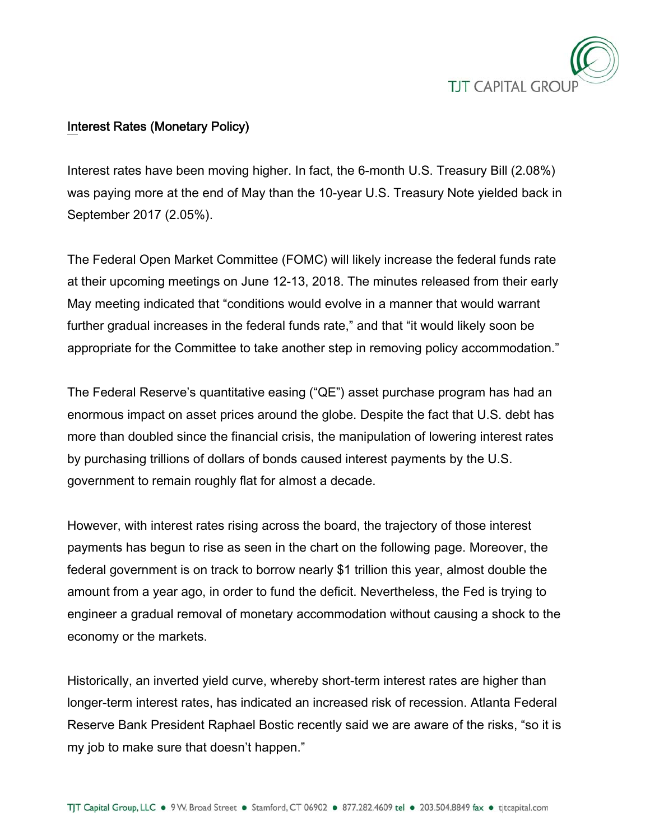

# Interest Rates (Monetary Policy)

Interest rates have been moving higher. In fact, the 6-month U.S. Treasury Bill (2.08%) was paying more at the end of May than the 10-year U.S. Treasury Note yielded back in September 2017 (2.05%).

The Federal Open Market Committee (FOMC) will likely increase the federal funds rate at their upcoming meetings on June 12-13, 2018. The minutes released from their early May meeting indicated that "conditions would evolve in a manner that would warrant further gradual increases in the federal funds rate," and that "it would likely soon be appropriate for the Committee to take another step in removing policy accommodation."

The Federal Reserve's quantitative easing ("QE") asset purchase program has had an enormous impact on asset prices around the globe. Despite the fact that U.S. debt has more than doubled since the financial crisis, the manipulation of lowering interest rates by purchasing trillions of dollars of bonds caused interest payments by the U.S. government to remain roughly flat for almost a decade.

However, with interest rates rising across the board, the trajectory of those interest payments has begun to rise as seen in the chart on the following page. Moreover, the federal government is on track to borrow nearly \$1 trillion this year, almost double the amount from a year ago, in order to fund the deficit. Nevertheless, the Fed is trying to engineer a gradual removal of monetary accommodation without causing a shock to the economy or the markets.

Historically, an inverted yield curve, whereby short-term interest rates are higher than longer-term interest rates, has indicated an increased risk of recession. Atlanta Federal Reserve Bank President Raphael Bostic recently said we are aware of the risks, "so it is my job to make sure that doesn't happen."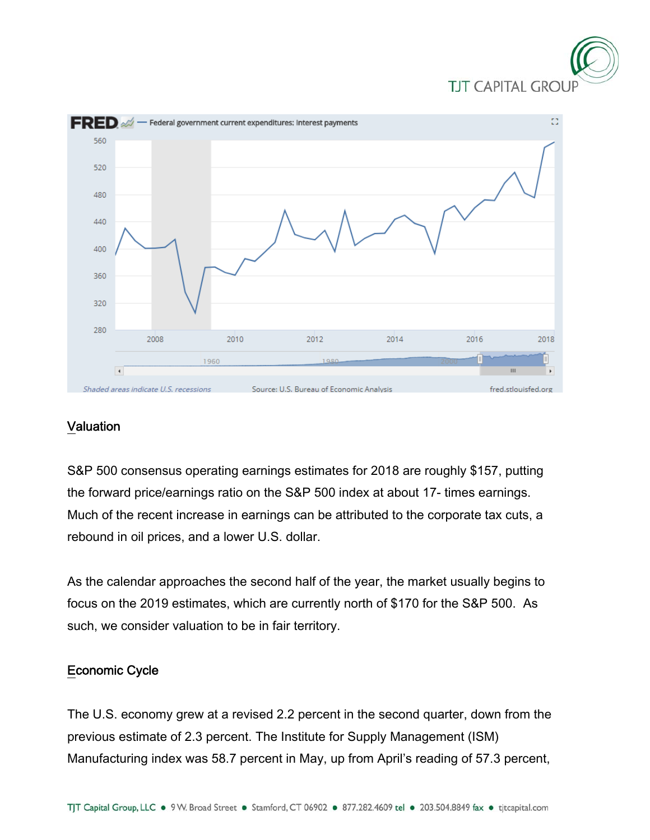



#### Valuation

S&P 500 consensus operating earnings estimates for 2018 are roughly \$157, putting the forward price/earnings ratio on the S&P 500 index at about 17- times earnings. Much of the recent increase in earnings can be attributed to the corporate tax cuts, a rebound in oil prices, and a lower U.S. dollar.

As the calendar approaches the second half of the year, the market usually begins to focus on the 2019 estimates, which are currently north of \$170 for the S&P 500. As such, we consider valuation to be in fair territory.

#### Economic Cycle

The U.S. economy grew at a revised 2.2 percent in the second quarter, down from the previous estimate of 2.3 percent. The Institute for Supply Management (ISM) Manufacturing index was 58.7 percent in May, up from April's reading of 57.3 percent,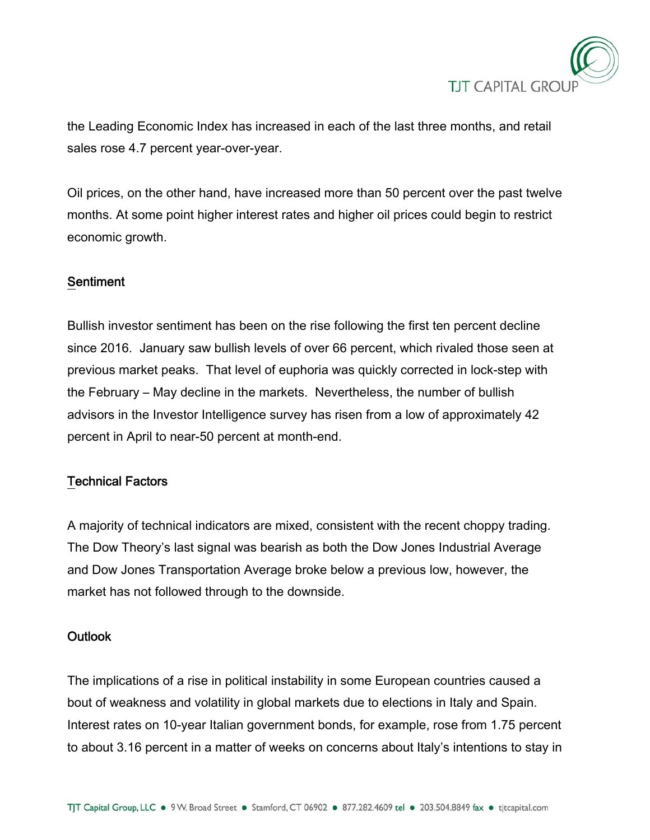

the Leading Economic Index has increased in each of the last three months, and retail sales rose 4.7 percent year-over-year.

Oil prices, on the other hand, have increased more than 50 percent over the past twelve months. At some point higher interest rates and higher oil prices could begin to restrict economic growth.

### **Sentiment**

Bullish investor sentiment has been on the rise following the first ten percent decline since 2016. January saw bullish levels of over 66 percent, which rivaled those seen at previous market peaks. That level of euphoria was quickly corrected in lock-step with the February – May decline in the markets. Nevertheless, the number of bullish advisors in the Investor Intelligence survey has risen from a low of approximately 42 percent in April to near-50 percent at month-end.

#### Technical Factors

A majority of technical indicators are mixed, consistent with the recent choppy trading. The Dow Theory's last signal was bearish as both the Dow Jones Industrial Average and Dow Jones Transportation Average broke below a previous low, however, the market has not followed through to the downside.

#### **Outlook**

The implications of a rise in political instability in some European countries caused a bout of weakness and volatility in global markets due to elections in Italy and Spain. Interest rates on 10-year Italian government bonds, for example, rose from 1.75 percent to about 3.16 percent in a matter of weeks on concerns about Italy's intentions to stay in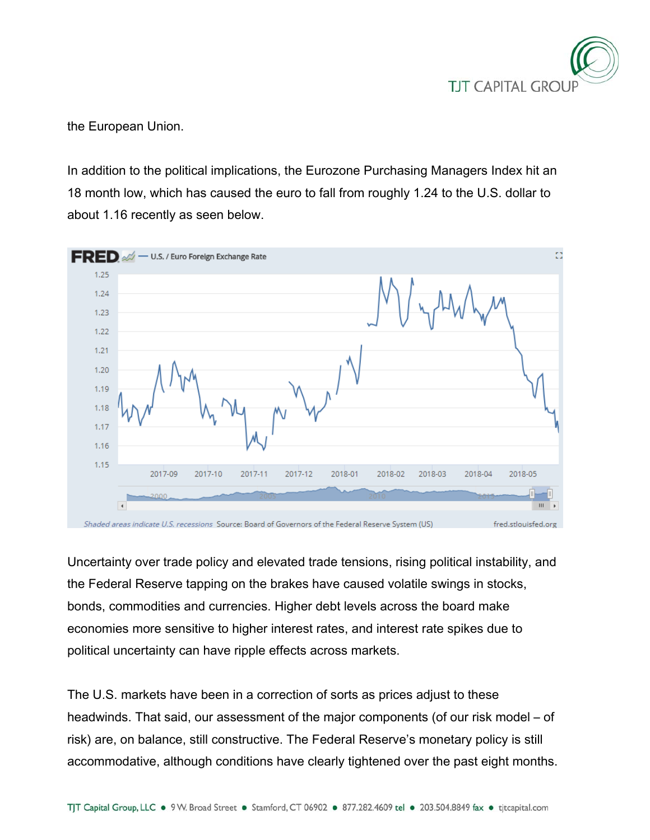

the European Union.

In addition to the political implications, the Eurozone Purchasing Managers Index hit an 18 month low, which has caused the euro to fall from roughly 1.24 to the U.S. dollar to about 1.16 recently as seen below.



Uncertainty over trade policy and elevated trade tensions, rising political instability, and the Federal Reserve tapping on the brakes have caused volatile swings in stocks, bonds, commodities and currencies. Higher debt levels across the board make economies more sensitive to higher interest rates, and interest rate spikes due to political uncertainty can have ripple effects across markets.

The U.S. markets have been in a correction of sorts as prices adjust to these headwinds. That said, our assessment of the major components (of our risk model – of risk) are, on balance, still constructive. The Federal Reserve's monetary policy is still accommodative, although conditions have clearly tightened over the past eight months.